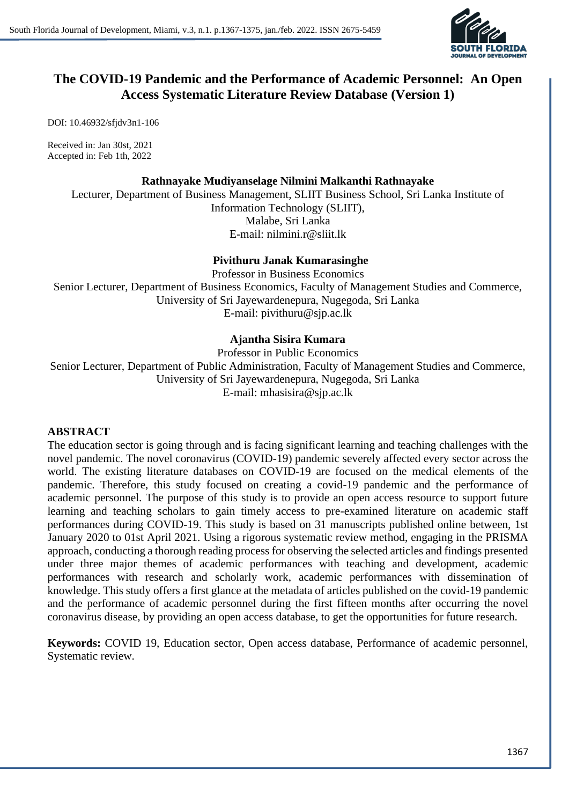

# **The COVID-19 Pandemic and the Performance of Academic Personnel: An Open Access Systematic Literature Review Database (Version 1)**

DOI: 10.46932/sfjdv3n1-106

Received in: Jan 30st, 2021 Accepted in: Feb 1th, 2022

### **Rathnayake Mudiyanselage Nilmini Malkanthi Rathnayake**

Lecturer, Department of Business Management, SLIIT Business School, Sri Lanka Institute of Information Technology (SLIIT), Malabe, Sri Lanka E-mail: nilmini.r@sliit.lk

## **Pivithuru Janak Kumarasinghe**

Professor in Business Economics Senior Lecturer, Department of Business Economics, Faculty of Management Studies and Commerce, University of Sri Jayewardenepura, Nugegoda, Sri Lanka E-mail: pivithuru@sjp.ac.lk

# **Ajantha Sisira Kumara**

Professor in Public Economics Senior Lecturer, Department of Public Administration, Faculty of Management Studies and Commerce, University of Sri Jayewardenepura, Nugegoda, Sri Lanka E-mail: mhasisira@sjp.ac.lk

## **ABSTRACT**

The education sector is going through and is facing significant learning and teaching challenges with the novel pandemic. The novel coronavirus (COVID-19) pandemic severely affected every sector across the world. The existing literature databases on COVID-19 are focused on the medical elements of the pandemic. Therefore, this study focused on creating a covid-19 pandemic and the performance of academic personnel. The purpose of this study is to provide an open access resource to support future learning and teaching scholars to gain timely access to pre-examined literature on academic staff performances during COVID-19. This study is based on 31 manuscripts published online between, 1st January 2020 to 01st April 2021. Using a rigorous systematic review method, engaging in the PRISMA approach, conducting a thorough reading process for observing the selected articles and findings presented under three major themes of academic performances with teaching and development, academic performances with research and scholarly work, academic performances with dissemination of knowledge. This study offers a first glance at the metadata of articles published on the covid-19 pandemic and the performance of academic personnel during the first fifteen months after occurring the novel coronavirus disease, by providing an open access database, to get the opportunities for future research.

**Keywords:** COVID 19, Education sector, Open access database, Performance of academic personnel, Systematic review.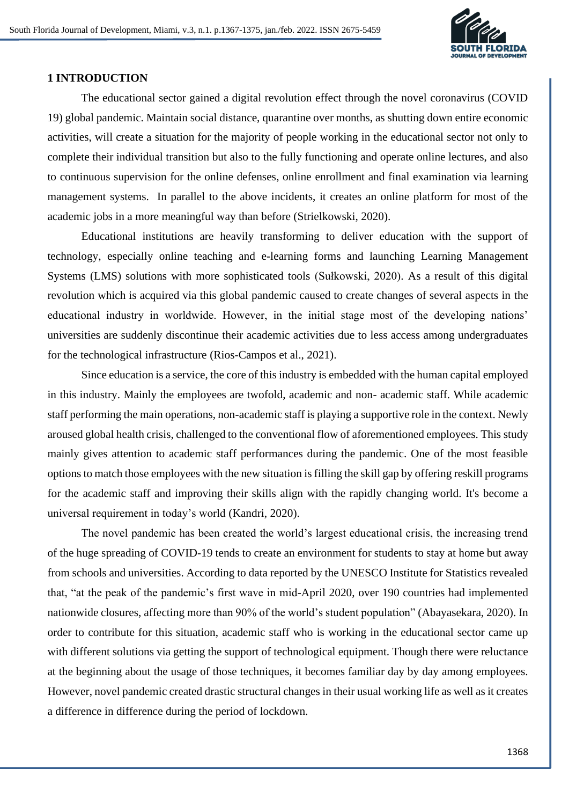

### **1 INTRODUCTION**

The educational sector gained a digital revolution effect through the novel coronavirus (COVID 19) global pandemic. Maintain social distance, quarantine over months, as shutting down entire economic activities, will create a situation for the majority of people working in the educational sector not only to complete their individual transition but also to the fully functioning and operate online lectures, and also to continuous supervision for the online defenses, online enrollment and final examination via learning management systems. In parallel to the above incidents, it creates an online platform for most of the academic jobs in a more meaningful way than before (Strielkowski, 2020).

Educational institutions are heavily transforming to deliver education with the support of technology, especially online teaching and e-learning forms and launching Learning Management Systems (LMS) solutions with more sophisticated tools (Sułkowski, 2020). As a result of this digital revolution which is acquired via this global pandemic caused to create changes of several aspects in the educational industry in worldwide. However, in the initial stage most of the developing nations' universities are suddenly discontinue their academic activities due to less access among undergraduates for the technological infrastructure (Rios-Campos et al., 2021).

Since education is a service, the core of this industry is embedded with the human capital employed in this industry. Mainly the employees are twofold, academic and non- academic staff. While academic staff performing the main operations, non-academic staff is playing a supportive role in the context. Newly aroused global health crisis, challenged to the conventional flow of aforementioned employees. This study mainly gives attention to academic staff performances during the pandemic. One of the most feasible options to match those employees with the new situation is filling the skill gap by offering reskill programs for the academic staff and improving their skills align with the rapidly changing world. It's become a universal requirement in today's world (Kandri, 2020).

The novel pandemic has been created the world's largest educational crisis, the increasing trend of the huge spreading of COVID-19 tends to create an environment for students to stay at home but away from schools and universities. According to data reported by the UNESCO Institute for Statistics revealed that, "at the peak of the pandemic's first wave in mid-April 2020, over 190 countries had implemented nationwide closures, affecting more than 90% of the world's student population" (Abayasekara, 2020). In order to contribute for this situation, academic staff who is working in the educational sector came up with different solutions via getting the support of technological equipment. Though there were reluctance at the beginning about the usage of those techniques, it becomes familiar day by day among employees. However, novel pandemic created drastic structural changes in their usual working life as well as it creates a difference in difference during the period of lockdown.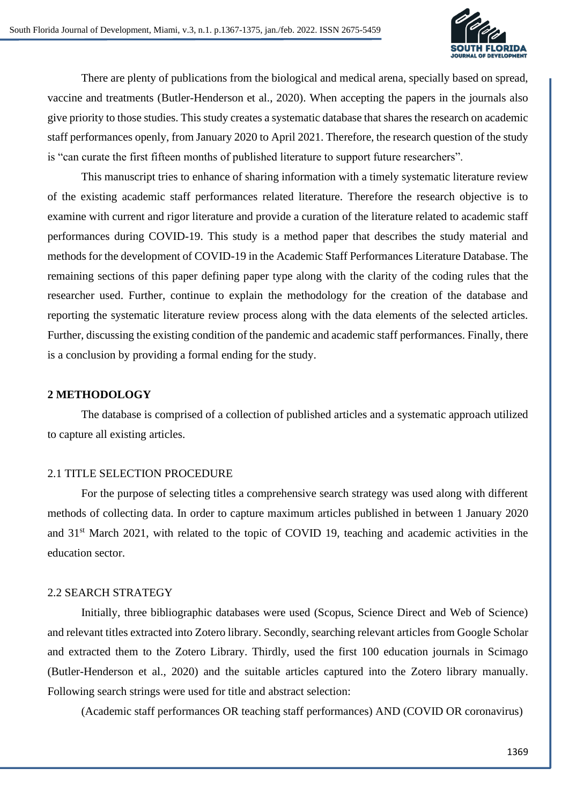

There are plenty of publications from the biological and medical arena, specially based on spread, vaccine and treatments (Butler-Henderson et al., 2020). When accepting the papers in the journals also give priority to those studies. This study creates a systematic database that shares the research on academic staff performances openly, from January 2020 to April 2021. Therefore, the research question of the study is "can curate the first fifteen months of published literature to support future researchers".

This manuscript tries to enhance of sharing information with a timely systematic literature review of the existing academic staff performances related literature. Therefore the research objective is to examine with current and rigor literature and provide a curation of the literature related to academic staff performances during COVID-19. This study is a method paper that describes the study material and methods for the development of COVID-19 in the Academic Staff Performances Literature Database. The remaining sections of this paper defining paper type along with the clarity of the coding rules that the researcher used. Further, continue to explain the methodology for the creation of the database and reporting the systematic literature review process along with the data elements of the selected articles. Further, discussing the existing condition of the pandemic and academic staff performances. Finally, there is a conclusion by providing a formal ending for the study.

### **2 METHODOLOGY**

The database is comprised of a collection of published articles and a systematic approach utilized to capture all existing articles.

#### 2.1 TITLE SELECTION PROCEDURE

For the purpose of selecting titles a comprehensive search strategy was used along with different methods of collecting data. In order to capture maximum articles published in between 1 January 2020 and 31st March 2021, with related to the topic of COVID 19, teaching and academic activities in the education sector.

## 2.2 SEARCH STRATEGY

Initially, three bibliographic databases were used (Scopus, Science Direct and Web of Science) and relevant titles extracted into Zotero library. Secondly, searching relevant articles from Google Scholar and extracted them to the Zotero Library. Thirdly, used the first 100 education journals in Scimago (Butler-Henderson et al., 2020) and the suitable articles captured into the Zotero library manually. Following search strings were used for title and abstract selection:

(Academic staff performances OR teaching staff performances) AND (COVID OR coronavirus)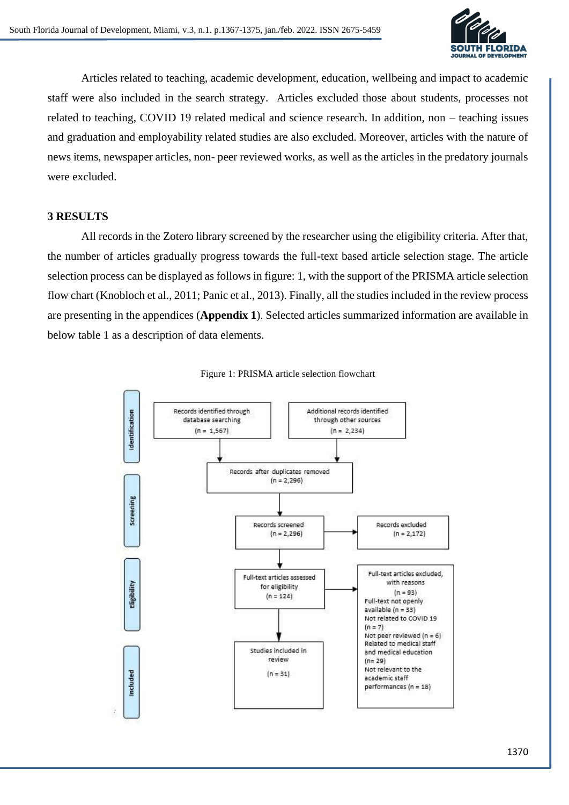

Articles related to teaching, academic development, education, wellbeing and impact to academic staff were also included in the search strategy. Articles excluded those about students, processes not related to teaching, COVID 19 related medical and science research. In addition, non – teaching issues and graduation and employability related studies are also excluded. Moreover, articles with the nature of news items, newspaper articles, non- peer reviewed works, as well as the articles in the predatory journals were excluded.

## **3 RESULTS**

All records in the Zotero library screened by the researcher using the eligibility criteria. After that, the number of articles gradually progress towards the full-text based article selection stage. The article selection process can be displayed as follows in figure: 1, with the support of the PRISMA article selection flow chart (Knobloch et al., 2011; Panic et al., 2013). Finally, all the studies included in the review process are presenting in the appendices (**Appendix 1**). Selected articles summarized information are available in below table 1 as a description of data elements.



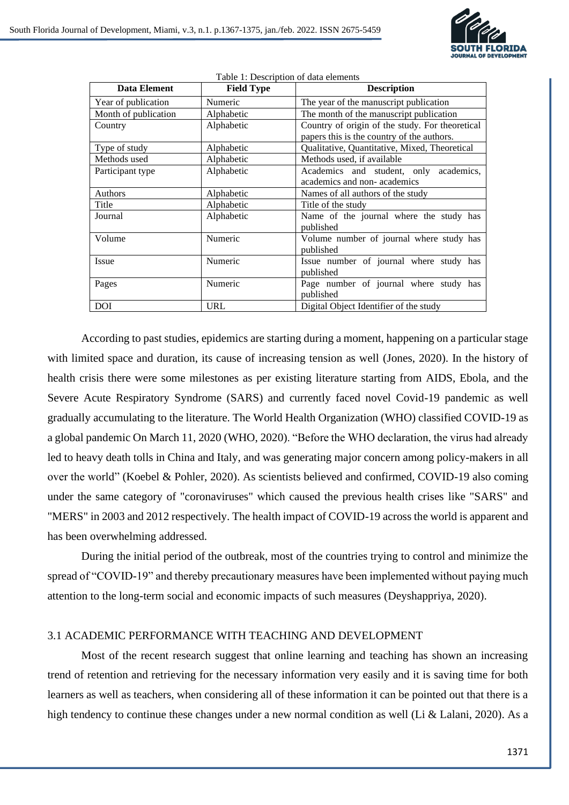

| <b>Data Element</b>  | <b>Field Type</b> | <b>Description</b>                                                                            |
|----------------------|-------------------|-----------------------------------------------------------------------------------------------|
| Year of publication  | Numeric           | The year of the manuscript publication                                                        |
| Month of publication | Alphabetic        | The month of the manuscript publication                                                       |
| Country              | Alphabetic        | Country of origin of the study. For theoretical<br>papers this is the country of the authors. |
| Type of study        | Alphabetic        | Qualitative, Quantitative, Mixed, Theoretical                                                 |
| Methods used         | Alphabetic        | Methods used, if available                                                                    |
| Participant type     | Alphabetic        | Academics and student, only academics,<br>academics and non-academics                         |
| Authors              | Alphabetic        | Names of all authors of the study                                                             |
| Title                | Alphabetic        | Title of the study                                                                            |
| Journal              | Alphabetic        | Name of the journal where the study has<br>published                                          |
| Volume               | Numeric           | Volume number of journal where study has<br>published                                         |
| Issue                | Numeric           | Issue number of journal where study has<br>published                                          |
| Pages                | Numeric           | Page number of journal where study has<br>published                                           |
| <b>DOI</b>           | <b>URL</b>        | Digital Object Identifier of the study                                                        |

Table 1: Description of data elements

According to past studies, epidemics are starting during a moment, happening on a particular stage with limited space and duration, its cause of increasing tension as well (Jones, 2020). In the history of health crisis there were some milestones as per existing literature starting from AIDS, Ebola, and the Severe Acute Respiratory Syndrome (SARS) and currently faced novel Covid-19 pandemic as well gradually accumulating to the literature. The World Health Organization (WHO) classified COVID-19 as a global pandemic On March 11, 2020 (WHO, 2020). "Before the WHO declaration, the virus had already led to heavy death tolls in China and Italy, and was generating major concern among policy-makers in all over the world" (Koebel & Pohler, 2020). As scientists believed and confirmed, COVID-19 also coming under the same category of "coronaviruses" which caused the previous health crises like "SARS" and "MERS" in 2003 and 2012 respectively. The health impact of COVID-19 across the world is apparent and has been overwhelming addressed.

During the initial period of the outbreak, most of the countries trying to control and minimize the spread of "COVID-19" and thereby precautionary measures have been implemented without paying much attention to the long-term social and economic impacts of such measures (Deyshappriya, 2020).

## 3.1 ACADEMIC PERFORMANCE WITH TEACHING AND DEVELOPMENT

Most of the recent research suggest that online learning and teaching has shown an increasing trend of retention and retrieving for the necessary information very easily and it is saving time for both learners as well as teachers, when considering all of these information it can be pointed out that there is a high tendency to continue these changes under a new normal condition as well (Li & Lalani, 2020). As a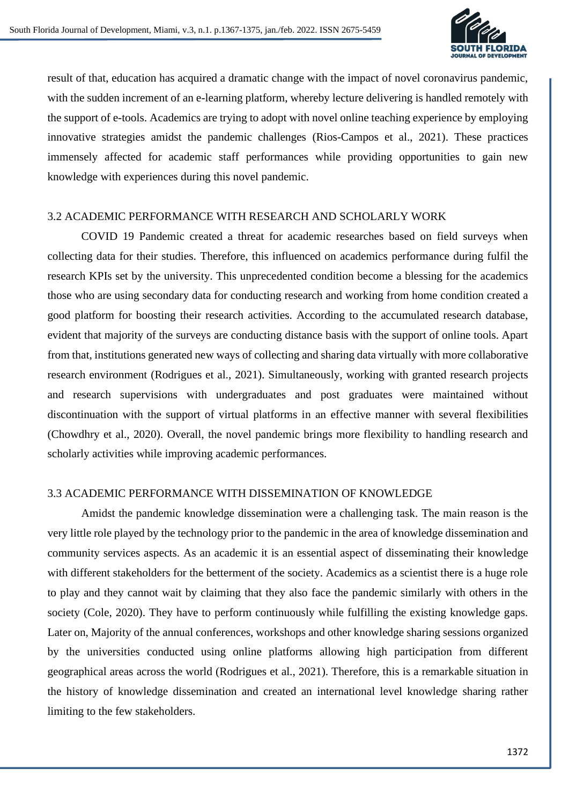

result of that, education has acquired a dramatic change with the impact of novel coronavirus pandemic, with the sudden increment of an e-learning platform, whereby lecture delivering is handled remotely with the support of e-tools. Academics are trying to adopt with novel online teaching experience by employing innovative strategies amidst the pandemic challenges (Rios-Campos et al., 2021). These practices immensely affected for academic staff performances while providing opportunities to gain new knowledge with experiences during this novel pandemic.

#### 3.2 ACADEMIC PERFORMANCE WITH RESEARCH AND SCHOLARLY WORK

COVID 19 Pandemic created a threat for academic researches based on field surveys when collecting data for their studies. Therefore, this influenced on academics performance during fulfil the research KPIs set by the university. This unprecedented condition become a blessing for the academics those who are using secondary data for conducting research and working from home condition created a good platform for boosting their research activities. According to the accumulated research database, evident that majority of the surveys are conducting distance basis with the support of online tools. Apart from that, institutions generated new ways of collecting and sharing data virtually with more collaborative research environment (Rodrigues et al., 2021). Simultaneously, working with granted research projects and research supervisions with undergraduates and post graduates were maintained without discontinuation with the support of virtual platforms in an effective manner with several flexibilities (Chowdhry et al., 2020). Overall, the novel pandemic brings more flexibility to handling research and scholarly activities while improving academic performances.

#### 3.3 ACADEMIC PERFORMANCE WITH DISSEMINATION OF KNOWLEDGE

Amidst the pandemic knowledge dissemination were a challenging task. The main reason is the very little role played by the technology prior to the pandemic in the area of knowledge dissemination and community services aspects. As an academic it is an essential aspect of disseminating their knowledge with different stakeholders for the betterment of the society. Academics as a scientist there is a huge role to play and they cannot wait by claiming that they also face the pandemic similarly with others in the society (Cole, 2020). They have to perform continuously while fulfilling the existing knowledge gaps. Later on, Majority of the annual conferences, workshops and other knowledge sharing sessions organized by the universities conducted using online platforms allowing high participation from different geographical areas across the world (Rodrigues et al., 2021). Therefore, this is a remarkable situation in the history of knowledge dissemination and created an international level knowledge sharing rather limiting to the few stakeholders.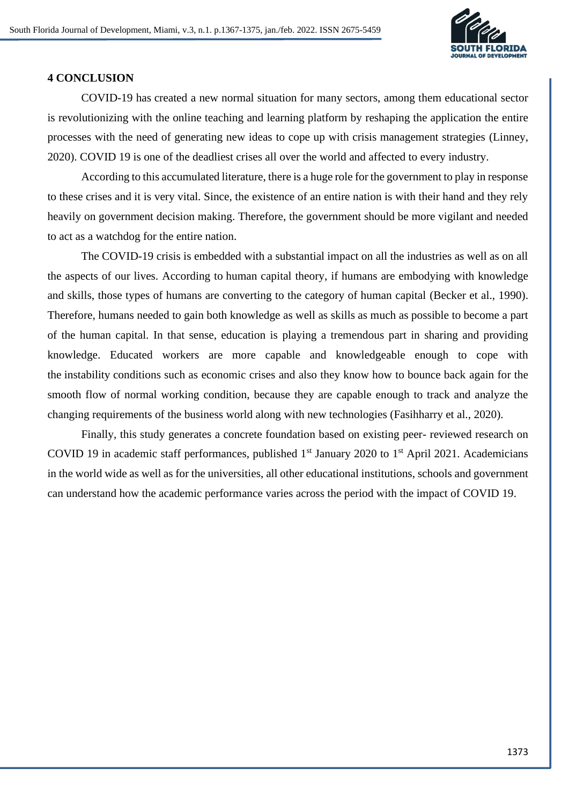

## **4 CONCLUSION**

COVID-19 has created a new normal situation for many sectors, among them educational sector is revolutionizing with the online teaching and learning platform by reshaping the application the entire processes with the need of generating new ideas to cope up with crisis management strategies (Linney, 2020). COVID 19 is one of the deadliest crises all over the world and affected to every industry.

According to this accumulated literature, there is a huge role for the government to play in response to these crises and it is very vital. Since, the existence of an entire nation is with their hand and they rely heavily on government decision making. Therefore, the government should be more vigilant and needed to act as a watchdog for the entire nation.

The COVID-19 crisis is embedded with a substantial impact on all the industries as well as on all the aspects of our lives. According to [human capital theory,](https://econpapers.repec.org/article/aeajeclit/v_3a13_3ay_3a1975_3ai_3a3_3ap_3a827-46.htm) if humans are embodying with knowledge and skills, those types of humans are converting to the category of human capital (Becker et al., 1990). Therefore, humans needed to gain both knowledge as well as skills as much as possible to become a part of the human capital. In that sense, education is playing a tremendous part in sharing and providing knowledge. Educated workers are more capable and knowledgeable enough to cope with the [instability](https://www.jstor.org/stable/pdf/2722032.pdf?casa_token=U72heV6vuWIAAAAA:Cr1NzxtLpoQRdcQWY6IqfBnj7G2006cP5f7AwgDWF6iHodTyqhcyB5P6AiQ0FxAjheZZyzfVnxque8PG4UAz1WF4_x3T7I7pLXN69fpamMdZ9XxuyjPn) conditions such as economic crises and also they know how to bounce back again for the smooth flow of normal working condition, because they are capable enough to track and analyze the changing requirements of the business world along with new technologies (Fasihharry et al., 2020).

Finally, this study generates a concrete foundation based on existing peer- reviewed research on COVID 19 in academic staff performances, published  $1<sup>st</sup>$  January 2020 to  $1<sup>st</sup>$  April 2021. Academicians in the world wide as well as for the universities, all other educational institutions, schools and government can understand how the academic performance varies across the period with the impact of COVID 19.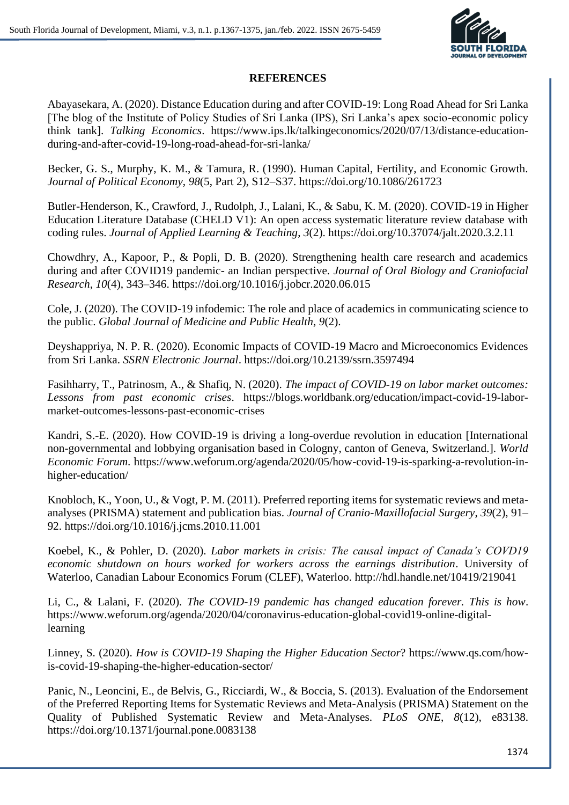

# **REFERENCES**

Abayasekara, A. (2020). Distance Education during and after COVID-19: Long Road Ahead for Sri Lanka [The blog of the Institute of Policy Studies of Sri Lanka (IPS), Sri Lanka's apex socio-economic policy think tank]. *Talking Economics*. https://www.ips.lk/talkingeconomics/2020/07/13/distance-educationduring-and-after-covid-19-long-road-ahead-for-sri-lanka/

Becker, G. S., Murphy, K. M., & Tamura, R. (1990). Human Capital, Fertility, and Economic Growth. *Journal of Political Economy*, *98*(5, Part 2), S12–S37. https://doi.org/10.1086/261723

Butler-Henderson, K., Crawford, J., Rudolph, J., Lalani, K., & Sabu, K. M. (2020). COVID-19 in Higher Education Literature Database (CHELD V1): An open access systematic literature review database with coding rules. *Journal of Applied Learning & Teaching*, *3*(2). https://doi.org/10.37074/jalt.2020.3.2.11

Chowdhry, A., Kapoor, P., & Popli, D. B. (2020). Strengthening health care research and academics during and after COVID19 pandemic- an Indian perspective. *Journal of Oral Biology and Craniofacial Research*, *10*(4), 343–346. https://doi.org/10.1016/j.jobcr.2020.06.015

Cole, J. (2020). The COVID-19 infodemic: The role and place of academics in communicating science to the public. *Global Journal of Medicine and Public Health*, *9*(2).

Deyshappriya, N. P. R. (2020). Economic Impacts of COVID-19 Macro and Microeconomics Evidences from Sri Lanka. *SSRN Electronic Journal*. https://doi.org/10.2139/ssrn.3597494

Fasihharry, T., Patrinosm, A., & Shafiq, N. (2020). *The impact of COVID-19 on labor market outcomes: Lessons from past economic crises*. https://blogs.worldbank.org/education/impact-covid-19-labormarket-outcomes-lessons-past-economic-crises

Kandri, S.-E. (2020). How COVID-19 is driving a long-overdue revolution in education [International non-governmental and lobbying organisation based in Cologny, canton of Geneva, Switzerland.]. *World Economic Forum*. https://www.weforum.org/agenda/2020/05/how-covid-19-is-sparking-a-revolution-inhigher-education/

Knobloch, K., Yoon, U., & Vogt, P. M. (2011). Preferred reporting items for systematic reviews and metaanalyses (PRISMA) statement and publication bias. *Journal of Cranio-Maxillofacial Surgery*, *39*(2), 91– 92. https://doi.org/10.1016/j.jcms.2010.11.001

Koebel, K., & Pohler, D. (2020). *Labor markets in crisis: The causal impact of Canada's COVD19 economic shutdown on hours worked for workers across the earnings distribution*. University of Waterloo, Canadian Labour Economics Forum (CLEF), Waterloo. http://hdl.handle.net/10419/219041

Li, C., & Lalani, F. (2020). *The COVID-19 pandemic has changed education forever. This is how*. https://www.weforum.org/agenda/2020/04/coronavirus-education-global-covid19-online-digitallearning

Linney, S. (2020). *How is COVID-19 Shaping the Higher Education Sector*? https://www.qs.com/howis-covid-19-shaping-the-higher-education-sector/

Panic, N., Leoncini, E., de Belvis, G., Ricciardi, W., & Boccia, S. (2013). Evaluation of the Endorsement of the Preferred Reporting Items for Systematic Reviews and Meta-Analysis (PRISMA) Statement on the Quality of Published Systematic Review and Meta-Analyses. *PLoS ONE*, *8*(12), e83138. https://doi.org/10.1371/journal.pone.0083138